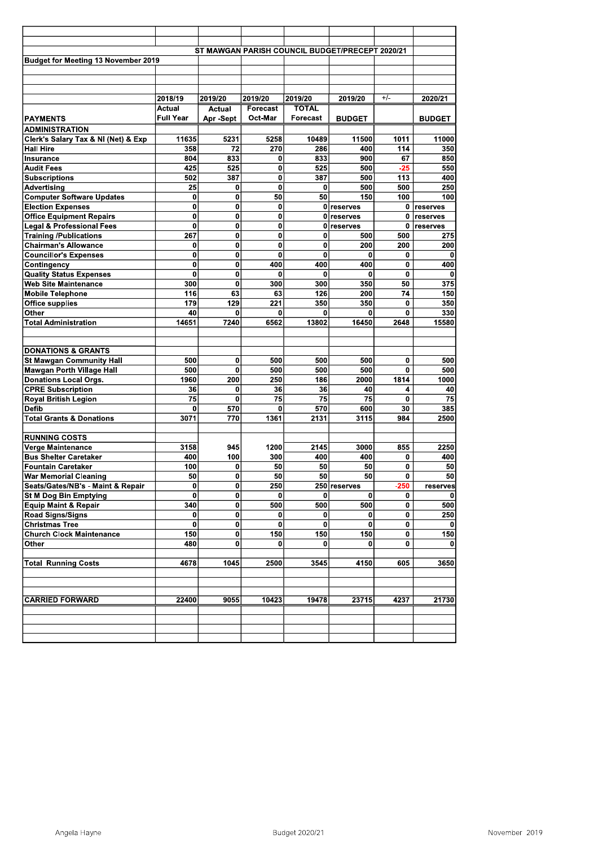|                                                                     |                  |               |              |              | ST MAWGAN PARISH COUNCIL BUDGET/PRECEPT 2020/21 |              |               |
|---------------------------------------------------------------------|------------------|---------------|--------------|--------------|-------------------------------------------------|--------------|---------------|
| <b>Budget for Meeting 13 November 2019</b>                          |                  |               |              |              |                                                 |              |               |
|                                                                     |                  |               |              |              |                                                 |              |               |
|                                                                     |                  |               |              |              |                                                 |              |               |
|                                                                     | 2018/19          | 2019/20       | 2019/20      | 2019/20      | 2019/20                                         | $+/-$        | 2020/21       |
|                                                                     | Actual           | Actual        | Forecast     | <b>TOTAL</b> |                                                 |              |               |
| <b>PAYMENTS</b>                                                     | <b>Full Year</b> | Apr -Sept     | Oct-Mar      | Forecast     | <b>BUDGET</b>                                   |              | <b>BUDGET</b> |
| ADMINISTRATION                                                      |                  |               |              |              |                                                 |              |               |
| Clerk's Salary Tax & NI (Net) & Exp                                 | 11635            | 5231          | 5258         | 10489        | 11500                                           | 1011         | 11000         |
| <b>Hall Hire</b>                                                    | 358              | 72            | 270          | 286          | 400                                             | 114          | 350           |
| Insurance                                                           | 804              | 833           | 0            | 833          | 900                                             | 67           | 850           |
| <b>Audit Fees</b>                                                   | 425              | 525           | 0            | 525          | 500                                             | $-25$        | 550           |
| <b>Subscriptions</b>                                                | 502              | 387           | $\bf{0}$     | 387          | 500                                             | 113          | 400           |
| Advertising                                                         | 25               | 0             | $\mathbf 0$  | 0            | 500                                             | 500          | 250           |
| <b>Computer Software Updates</b>                                    | 0                | 0             | 50           | 50           | 150                                             | 100          | 100           |
| <b>Election Expenses</b>                                            | $\bf{0}$         | $\mathbf 0$   | $\mathbf{0}$ |              | 0 reserves                                      | 0            | reserves      |
| <b>Office Equipment Repairs</b>                                     | 0                | $\bf{0}$      | 0            | 0            | <b>reserves</b>                                 | 0            | reserves      |
| <b>Legal &amp; Professional Fees</b>                                | $\bf{0}$         | $\bf{0}$      | $\bf{0}$     | 0            | reserves                                        | 0            | reserves      |
| <b>Training /Publications</b>                                       | 267              | 0             | 0            | 0            | 500                                             | 500          | 275           |
| <b>Chairman's Allowance</b>                                         | 0                | $\mathbf 0$   | 0            | 0            | 200                                             | 200          | 200           |
| <b>Councillor's Expenses</b>                                        | $\bf{0}$         | $\mathbf 0$   | $\mathbf{0}$ | 0            | 0                                               | 0            | 0             |
| Contingency                                                         | 0                | 0             | 400          | 400          | 400                                             | 0            | 400           |
| <b>Quality Status Expenses</b>                                      | 0                | $\bf{0}$      | $\mathbf{0}$ | 0            | 0                                               | $\mathbf{0}$ | 0             |
| <b>Web Site Maintenance</b>                                         | 300              | $\mathbf 0$   | 300          | 300          | 350                                             | 50           | 375           |
| <b>Mobile Telephone</b>                                             | 116              | 63            | 63           | 126          | 200                                             | 74           | 150           |
| <b>Office supplies</b>                                              | 179              | 129           | 221          | 350          | 350                                             | 0            | 350           |
| Other                                                               | 40               | 0             | $\bf{0}$     | 0            | 0                                               | 0            | 330           |
| <b>Total Administration</b>                                         | 14651            | 7240          | 6562         | 13802        | 16450                                           | 2648         | 15580         |
|                                                                     |                  |               |              |              |                                                 |              |               |
| <b>DONATIONS &amp; GRANTS</b>                                       |                  |               |              |              |                                                 |              |               |
| <b>St Mawgan Community Hall</b><br><b>Mawgan Porth Village Hall</b> | 500              | 0<br>$\bf{0}$ | 500<br>500   | 500<br>500   | 500                                             | 0<br>0       | 500<br>500    |
| <b>Donations Local Orgs.</b>                                        | 500<br>1960      | 200           | 250          | 186          | 500<br>2000                                     | 1814         | 1000          |
| <b>CPRE Subscription</b>                                            | 36               | $\bf{0}$      | 36           | 36           | 40                                              | 4            | 40            |
| <b>Royal British Legion</b>                                         | 75               | $\mathbf 0$   | 75           | 75           | 75                                              | 0            | 75            |
| <b>Defib</b>                                                        | 0                | 570           | 0            | 570          | 600                                             | 30           | 385           |
| <b>Total Grants &amp; Donations</b>                                 | 3071             | 770           | 1361         | 2131         | 3115                                            | 984          | 2500          |
|                                                                     |                  |               |              |              |                                                 |              |               |
| <b>RUNNING COSTS</b>                                                |                  |               |              |              |                                                 |              |               |
| Verge Maintenance                                                   | 3158             | 945           | 1200         | 2145         | 3000                                            | 855          | 2250          |
| <b>Bus Shelter Caretaker</b>                                        | 400              | 100           | 300          | 400          | 400                                             | 0            | 400           |
| <b>Fountain Caretaker</b>                                           | 100              | $\bf{0}$      | 50           | 50           | 50                                              | 0            | 50            |
| <b>War Memorial Cleaning</b>                                        | 50               | 0             | 50           | 50           | 50                                              | 0            | 50            |
| Seats/Gates/NB's - Maint & Repair                                   | $\bf{0}$         | 0             | 250          |              | 250 reserves                                    | $-250$       | reserves      |
| St M Dog Bin Emptying                                               | 0                | 0             | 0            | 0            | 0                                               | 0            |               |
| <b>Equip Maint &amp; Repair</b><br><b>Road Signs/Signs</b>          | 340<br>0         | 0             | 500          | 500<br>0     | 500<br>0                                        | 0<br>0       | 500           |
| <b>Christmas Tree</b>                                               |                  | 0             | 0<br>0       |              | 0                                               |              | 250           |
| <b>Church Clock Maintenance</b>                                     | 0<br>150         | 0<br>$\bf{0}$ | 150          | 0<br>150     | 150                                             | 0<br>0       | 0<br>150      |
| Other                                                               | 480              | 0             | 0            | 0            | 0                                               | 0            | 0             |
|                                                                     |                  |               |              |              |                                                 |              |               |
| <b>Total Running Costs</b>                                          | 4678             | 1045          | 2500         | 3545         | 4150                                            | 605          | 3650          |
|                                                                     |                  |               |              |              |                                                 |              |               |
| <b>CARRIED FORWARD</b>                                              | 22400            | 9055          | 10423        | 19478        | 23715                                           | 4237         | 21730         |
|                                                                     |                  |               |              |              |                                                 |              |               |
|                                                                     |                  |               |              |              |                                                 |              |               |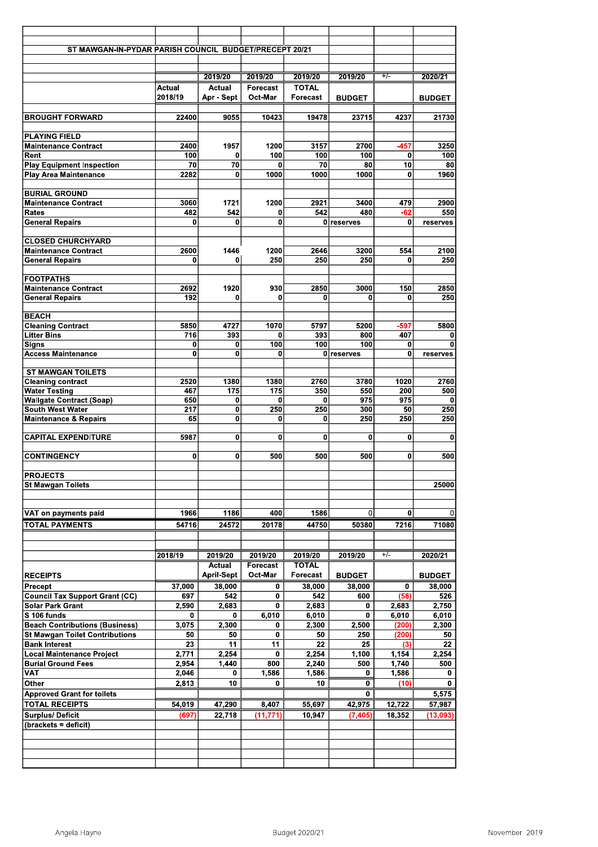| ST MAWGAN-IN-PYDAR PARISH COUNCIL BUDGET/PRECEPT 20/21        |                 |                             |              |                    |                         |              |                         |
|---------------------------------------------------------------|-----------------|-----------------------------|--------------|--------------------|-------------------------|--------------|-------------------------|
|                                                               |                 |                             |              |                    |                         |              |                         |
|                                                               |                 | 2019/20                     | 2019/20      | 2019/20            | 2019/20                 | +7-          | 2020/21                 |
|                                                               | Actual          | Actual                      | Forecast     | <b>TOTAL</b>       |                         |              |                         |
|                                                               | 2018/19         | Apr - Sept                  | Oct-Mar      | Forecast           | <b>BUDGET</b>           |              | <b>BUDGET</b>           |
| <b>BROUGHT FORWARD</b>                                        | 22400           | 9055                        | 10423        | 19478              | 23715                   | 4237         | 21730                   |
|                                                               |                 |                             |              |                    |                         |              |                         |
| <b>PLAYING FIELD</b>                                          |                 |                             |              |                    |                         |              |                         |
| <b>Maintenance Contract</b>                                   | 2400            | 1957                        | 1200         | 3157               | 2700                    | $-457$       | 3250                    |
| Rent<br><b>Play Equipment Inspection</b>                      | 100<br>70       | 0<br>70                     | 100<br>0     | 100<br>70          | 100<br>80               | 0<br>10      | 100<br>80               |
| <b>Play Area Maintenance</b>                                  | 2282            | 0                           | 1000         | 1000               | 1000                    | 0            | 1960                    |
|                                                               |                 |                             |              |                    |                         |              |                         |
| <b>BURIAL GROUND</b>                                          |                 |                             |              |                    |                         |              |                         |
| <b>Maintenance Contract</b><br><b>Rates</b>                   | 3060            | 1721                        | 1200<br>0    | 2921<br>542        | 3400<br>480             | 479          | 2900                    |
| <b>General Repairs</b>                                        | 482<br>$\bf{0}$ | 542<br>0                    | $\bf{0}$     |                    | 0 reserves              | -62<br>0     | 550<br>reserves         |
|                                                               |                 |                             |              |                    |                         |              |                         |
| <b>CLOSED CHURCHYARD</b>                                      |                 |                             |              |                    |                         |              |                         |
| <b>Maintenance Contract</b>                                   | 2600            | 1446                        | 1200         | 2646               | 3200                    | 554          | 2100                    |
| <b>General Repairs</b>                                        | 0               | 0                           | 250          | 250                | 250                     | 0            | 250                     |
| <b>FOOTPATHS</b>                                              |                 |                             |              |                    |                         |              |                         |
| <b>Maintenance Contract</b>                                   | 2692            | 1920                        | 930          | 2850               | 3000                    | 150          | 2850                    |
| <b>General Repairs</b>                                        | 192             | 0                           | 0            | 0                  | 0                       | 0            | 250                     |
| <b>BEACH</b>                                                  |                 |                             |              |                    |                         |              |                         |
| <b>Cleaning Contract</b>                                      | 5850            | 4727                        | 1070         | 5797               | 5200                    | $-597$       | 5800                    |
| <b>Litter Bins</b>                                            | 716             | 393                         | 0            | 393                | 800                     | 407          | 0                       |
| <b>Signs</b>                                                  | 0               | 0                           | 100          | 100                | 100                     | 0            | $\mathbf 0$             |
| Access Maintenance                                            | 0               | 0                           | 0            |                    | 0 reserves              | 0            | reserves                |
| <b>ST MAWGAN TOILETS</b>                                      |                 |                             |              |                    |                         |              |                         |
| <b>Cleaning contract</b>                                      | 2520            | 1380                        | 1380         | 2760               | 3780                    | 1020         | 2760                    |
| <b>Water Testing</b>                                          | 467             | 175                         | 175          | 350                | 550                     | 200          | 500                     |
| <b>Wallgate Contract (Soap)</b><br><b>South West Water</b>    | 650<br>217      | 0<br>0                      | 0<br>250     | 0<br>250           | 975                     | 975<br>50    | 0                       |
| <b>Maintenance &amp; Repairs</b>                              | 65              | 0                           | 0            | 0                  | 300<br>250              | 250          | 250<br>250              |
|                                                               |                 |                             |              |                    |                         |              |                         |
| <b>CAPITAL EXPENDITURE</b>                                    | 5987            | 0                           | 0            | 0                  | 0                       | 0            | $\mathbf{0}$            |
| <b>CONTINGENCY</b>                                            | 0               | 0                           | 500          | 500                | 500                     | 0            | 500                     |
|                                                               |                 |                             |              |                    |                         |              |                         |
| <b>PROJECTS</b>                                               |                 |                             |              |                    |                         |              |                         |
| <b>St Mawgan Toilets</b>                                      |                 |                             |              |                    |                         |              | 25000                   |
|                                                               |                 |                             |              |                    |                         |              |                         |
| VAT on payments paid                                          | 1966            | 1186                        | 400          | 1586               | 0                       | 0            | $\Omega$                |
| <b>TOTAL PAYMENTS</b>                                         | 54716           | 24572                       | 20178        | 44750              | 50380                   | 7216         | 71080                   |
|                                                               |                 |                             |              |                    |                         |              |                         |
|                                                               |                 |                             |              |                    |                         |              |                         |
|                                                               | 2018/19         | 2019/20                     | 2019/20      | 2019/20            | 2019/20                 | $+/-$        | 2020/21                 |
|                                                               |                 | <b>Actual</b>               | Forecast     | <b>TOTAL</b>       |                         |              |                         |
| <b>RECEIPTS</b><br>Precept                                    | 37,000          | <b>April-Sept</b><br>38,000 | Oct-Mar<br>0 | Forecast<br>38,000 | <b>BUDGET</b><br>38,000 | 0            | <b>BUDGET</b><br>38,000 |
| <b>Council Tax Support Grant (CC)</b>                         | 697             | 542                         | 0            | 542                | 600                     | (58)         | 526                     |
| <b>Solar Park Grant</b>                                       | 2,590           | 2,683                       | 0            | 2,683              | 0                       | 2,683        | 2,750                   |
| S 106 funds                                                   | 0               | 0                           | 6,010        | 6,010              | 0                       | 6,010        | 6,010                   |
| <b>Beach Contributions (Business)</b>                         | 3,075           | 2,300                       | 0            | 2,300              | 2,500                   | (200)        | 2,300                   |
| <b>St Mawgan Toilet Contributions</b><br><b>Bank Interest</b> | 50<br>23        | 50<br>11                    | 0<br>11      | 50<br>22           | 250<br>25               | (200)<br>(3) | 50<br>22                |
| <b>Local Maintenance Project</b>                              | 2,771           | 2,254                       | 0            | 2,254              | 1,100                   | 1,154        | 2,254                   |
| <b>Burial Ground Fees</b>                                     | 2,954           | 1,440                       | 800          | 2,240              | 500                     | 1,740        | 500                     |
| VAT                                                           | 2,046           | 0                           | 1,586        | 1,586              | 0                       | 1,586        | 0                       |
| Other                                                         | 2,813           | 10                          | 0            | 10                 | 0                       | (10)         | 0                       |
| <b>Approved Grant for toilets</b>                             |                 |                             |              |                    | 0                       |              | 5,575                   |
| <b>TOTAL RECEIPTS</b>                                         | 54,019          | 47,290                      | 8,407        | 55,697             | 42,975                  | 12,722       | 57,987                  |
| <b>Surplus/Deficit</b><br>(brackets = deficit)                | (697            | 22,718                      | (11, 771)    | 10,947             | (7, 405)                | 18,352       | (13, 093)               |
|                                                               |                 |                             |              |                    |                         |              |                         |
|                                                               |                 |                             |              |                    |                         |              |                         |
|                                                               |                 |                             |              |                    |                         |              |                         |
|                                                               |                 |                             |              |                    |                         |              |                         |